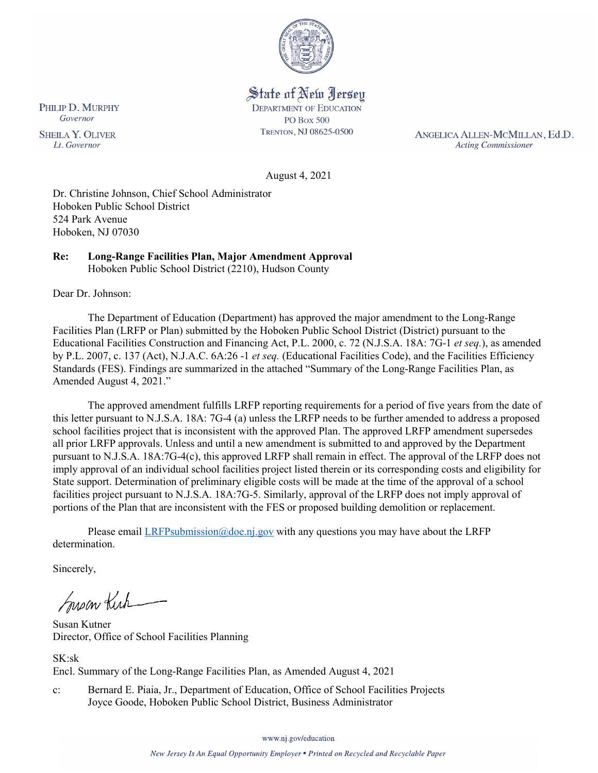

State of New Jersey **DEPARTMENT OF EDUCATION PO Box 500** TRENTON, NJ 08625-0500

ANGELICA ALLEN-MCMILLAN, Ed.D. **Acting Commissioner** 

August 4, 2021

Dr. Christine Johnson, Chief School Administrator Hoboken Public School District 524 Park Avenue Hoboken, NJ 07030

#### **Re: Long-Range Facilities Plan, Major Amendment Approval**  Hoboken Public School District (2210), Hudson County

Dear Dr. Johnson:

The Department of Education (Department) has approved the major amendment to the Long-Range Facilities Plan (LRFP or Plan) submitted by the Hoboken Public School District (District) pursuant to the Educational Facilities Construction and Financing Act, P.L. 2000, c. 72 (N.J.S.A. 18A: 7G-1 *et seq.*), as amended by P.L. 2007, c. 137 (Act), N.J.A.C. 6A:26 -1 *et seq.* (Educational Facilities Code), and the Facilities Efficiency Standards (FES). Findings are summarized in the attached "Summary of the Long-Range Facilities Plan, as Amended August 4, 2021."

The approved amendment fulfills LRFP reporting requirements for a period of five years from the date of this letter pursuant to N.J.S.A. 18A: 7G-4 (a) unless the LRFP needs to be further amended to address a proposed school facilities project that is inconsistent with the approved Plan. The approved LRFP amendment supersedes all prior LRFP approvals. Unless and until a new amendment is submitted to and approved by the Department pursuant to N.J.S.A. 18A:7G-4(c), this approved LRFP shall remain in effect. The approval of the LRFP does not imply approval of an individual school facilities project listed therein or its corresponding costs and eligibility for State support. Determination of preliminary eligible costs will be made at the time of the approval of a school facilities project pursuant to N.J.S.A. 18A:7G-5. Similarly, approval of the LRFP does not imply approval of portions of the Plan that are inconsistent with the FES or proposed building demolition or replacement.

Please email *LRFPsubmission@doe.nj.gov* with any questions you may have about the LRFP determination.

Sincerely,

Susan Kich

Susan Kutner Director, Office of School Facilities Planning

SK:sk Encl. Summary of the Long-Range Facilities Plan, as Amended August 4, 2021

c: Bernard E. Piaia, Jr., Department of Education, Office of School Facilities Projects Joyce Goode, Hoboken Public School District, Business Administrator

PHILIP D. MURPHY Governor

**SHEILA Y. OLIVER** Lt. Governor

www.nj.gov/education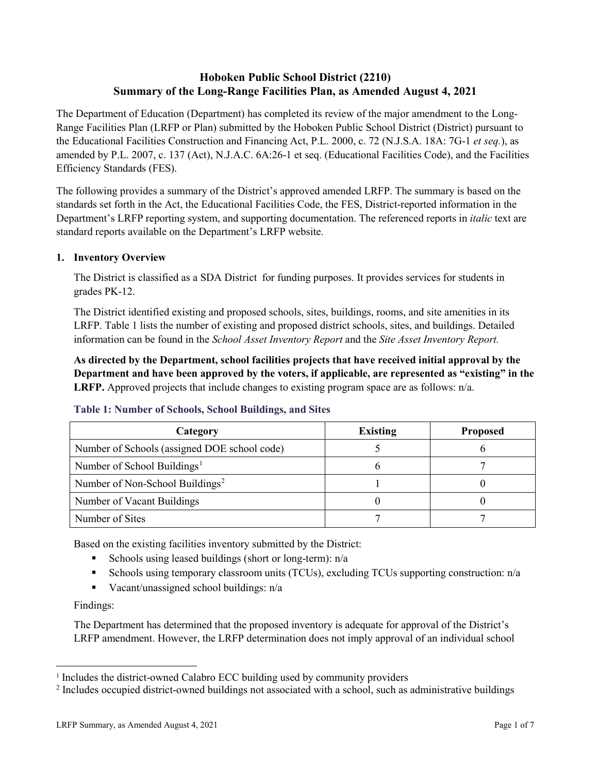# **Hoboken Public School District (2210) Summary of the Long-Range Facilities Plan, as Amended August 4, 2021**

The Department of Education (Department) has completed its review of the major amendment to the Long-Range Facilities Plan (LRFP or Plan) submitted by the Hoboken Public School District (District) pursuant to the Educational Facilities Construction and Financing Act, P.L. 2000, c. 72 (N.J.S.A. 18A: 7G-1 *et seq.*), as amended by P.L. 2007, c. 137 (Act), N.J.A.C. 6A:26-1 et seq. (Educational Facilities Code), and the Facilities Efficiency Standards (FES).

The following provides a summary of the District's approved amended LRFP. The summary is based on the standards set forth in the Act, the Educational Facilities Code, the FES, District-reported information in the Department's LRFP reporting system, and supporting documentation. The referenced reports in *italic* text are standard reports available on the Department's LRFP website.

### **1. Inventory Overview**

The District is classified as a SDA District for funding purposes. It provides services for students in grades PK-12.

The District identified existing and proposed schools, sites, buildings, rooms, and site amenities in its LRFP. Table 1 lists the number of existing and proposed district schools, sites, and buildings. Detailed information can be found in the *School Asset Inventory Report* and the *Site Asset Inventory Report.*

**As directed by the Department, school facilities projects that have received initial approval by the Department and have been approved by the voters, if applicable, are represented as "existing" in the LRFP.** Approved projects that include changes to existing program space are as follows: n/a.

| Category                                     | <b>Existing</b> | <b>Proposed</b> |
|----------------------------------------------|-----------------|-----------------|
| Number of Schools (assigned DOE school code) |                 |                 |
| Number of School Buildings <sup>1</sup>      |                 |                 |
| Number of Non-School Buildings <sup>2</sup>  |                 |                 |
| Number of Vacant Buildings                   |                 |                 |
| Number of Sites                              |                 |                 |

#### **Table 1: Number of Schools, School Buildings, and Sites**

Based on the existing facilities inventory submitted by the District:

- Schools using leased buildings (short or long-term): n/a
- Schools using temporary classroom units (TCUs), excluding TCUs supporting construction: n/a
- Vacant/unassigned school buildings: n/a

Findings:

 $\overline{a}$ 

The Department has determined that the proposed inventory is adequate for approval of the District's LRFP amendment. However, the LRFP determination does not imply approval of an individual school

<span id="page-1-0"></span><sup>1</sup> Includes the district-owned Calabro ECC building used by community providers

<span id="page-1-1"></span><sup>&</sup>lt;sup>2</sup> Includes occupied district-owned buildings not associated with a school, such as administrative buildings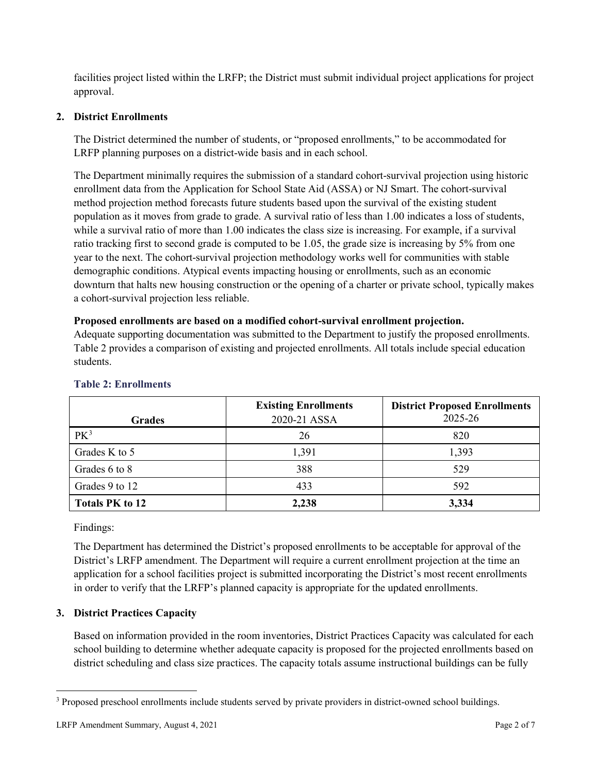facilities project listed within the LRFP; the District must submit individual project applications for project approval.

# **2. District Enrollments**

The District determined the number of students, or "proposed enrollments," to be accommodated for LRFP planning purposes on a district-wide basis and in each school.

The Department minimally requires the submission of a standard cohort-survival projection using historic enrollment data from the Application for School State Aid (ASSA) or NJ Smart. The cohort-survival method projection method forecasts future students based upon the survival of the existing student population as it moves from grade to grade. A survival ratio of less than 1.00 indicates a loss of students, while a survival ratio of more than 1.00 indicates the class size is increasing. For example, if a survival ratio tracking first to second grade is computed to be 1.05, the grade size is increasing by 5% from one year to the next. The cohort-survival projection methodology works well for communities with stable demographic conditions. Atypical events impacting housing or enrollments, such as an economic downturn that halts new housing construction or the opening of a charter or private school, typically makes a cohort-survival projection less reliable.

### **Proposed enrollments are based on a modified cohort-survival enrollment projection.**

Adequate supporting documentation was submitted to the Department to justify the proposed enrollments. Table 2 provides a comparison of existing and projected enrollments. All totals include special education students.

| <b>Grades</b>          | <b>Existing Enrollments</b><br>2020-21 ASSA | <b>District Proposed Enrollments</b><br>2025-26 |
|------------------------|---------------------------------------------|-------------------------------------------------|
| PK <sup>3</sup>        | 26                                          | 820                                             |
| Grades K to 5          | 1,391                                       | 1,393                                           |
| Grades 6 to 8          | 388                                         | 529                                             |
| Grades 9 to 12         | 433                                         | 592                                             |
| <b>Totals PK to 12</b> | 2,238                                       | 3,334                                           |

#### **Table 2: Enrollments**

Findings:

 $\overline{a}$ 

The Department has determined the District's proposed enrollments to be acceptable for approval of the District's LRFP amendment. The Department will require a current enrollment projection at the time an application for a school facilities project is submitted incorporating the District's most recent enrollments in order to verify that the LRFP's planned capacity is appropriate for the updated enrollments.

# **3. District Practices Capacity**

Based on information provided in the room inventories, District Practices Capacity was calculated for each school building to determine whether adequate capacity is proposed for the projected enrollments based on district scheduling and class size practices. The capacity totals assume instructional buildings can be fully

<span id="page-2-0"></span><sup>&</sup>lt;sup>3</sup> Proposed preschool enrollments include students served by private providers in district-owned school buildings.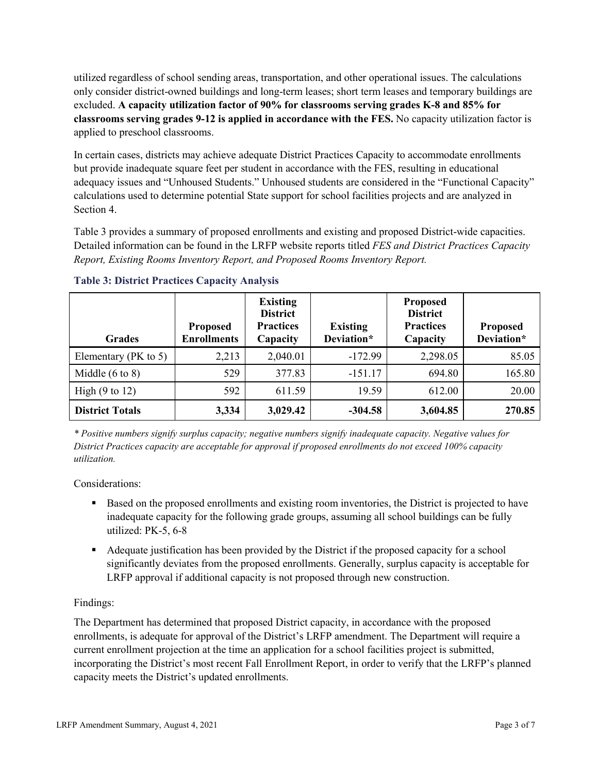utilized regardless of school sending areas, transportation, and other operational issues. The calculations only consider district-owned buildings and long-term leases; short term leases and temporary buildings are excluded. **A capacity utilization factor of 90% for classrooms serving grades K-8 and 85% for classrooms serving grades 9-12 is applied in accordance with the FES.** No capacity utilization factor is applied to preschool classrooms.

In certain cases, districts may achieve adequate District Practices Capacity to accommodate enrollments but provide inadequate square feet per student in accordance with the FES, resulting in educational adequacy issues and "Unhoused Students." Unhoused students are considered in the "Functional Capacity" calculations used to determine potential State support for school facilities projects and are analyzed in Section 4.

Table 3 provides a summary of proposed enrollments and existing and proposed District-wide capacities. Detailed information can be found in the LRFP website reports titled *FES and District Practices Capacity Report, Existing Rooms Inventory Report, and Proposed Rooms Inventory Report.*

| <b>Grades</b>              | <b>Proposed</b><br><b>Enrollments</b> | <b>Existing</b><br><b>District</b><br><b>Practices</b><br>Capacity | <b>Existing</b><br>Deviation* | <b>Proposed</b><br><b>District</b><br><b>Practices</b><br>Capacity | <b>Proposed</b><br>Deviation* |
|----------------------------|---------------------------------------|--------------------------------------------------------------------|-------------------------------|--------------------------------------------------------------------|-------------------------------|
| Elementary ( $PK$ to 5)    | 2,213                                 | 2,040.01                                                           | $-172.99$                     | 2,298.05                                                           | 85.05                         |
| Middle $(6 \text{ to } 8)$ | 529                                   | 377.83                                                             | $-151.17$                     | 694.80                                                             | 165.80                        |
| High $(9 \text{ to } 12)$  | 592                                   | 611.59                                                             | 19.59                         | 612.00                                                             | 20.00                         |
| <b>District Totals</b>     | 3,334                                 | 3,029.42                                                           | $-304.58$                     | 3,604.85                                                           | 270.85                        |

**Table 3: District Practices Capacity Analysis**

*\* Positive numbers signify surplus capacity; negative numbers signify inadequate capacity. Negative values for District Practices capacity are acceptable for approval if proposed enrollments do not exceed 100% capacity utilization.*

Considerations:

- Based on the proposed enrollments and existing room inventories, the District is projected to have inadequate capacity for the following grade groups, assuming all school buildings can be fully utilized: PK-5, 6-8
- Adequate justification has been provided by the District if the proposed capacity for a school significantly deviates from the proposed enrollments. Generally, surplus capacity is acceptable for LRFP approval if additional capacity is not proposed through new construction.

# Findings:

The Department has determined that proposed District capacity, in accordance with the proposed enrollments, is adequate for approval of the District's LRFP amendment. The Department will require a current enrollment projection at the time an application for a school facilities project is submitted, incorporating the District's most recent Fall Enrollment Report, in order to verify that the LRFP's planned capacity meets the District's updated enrollments.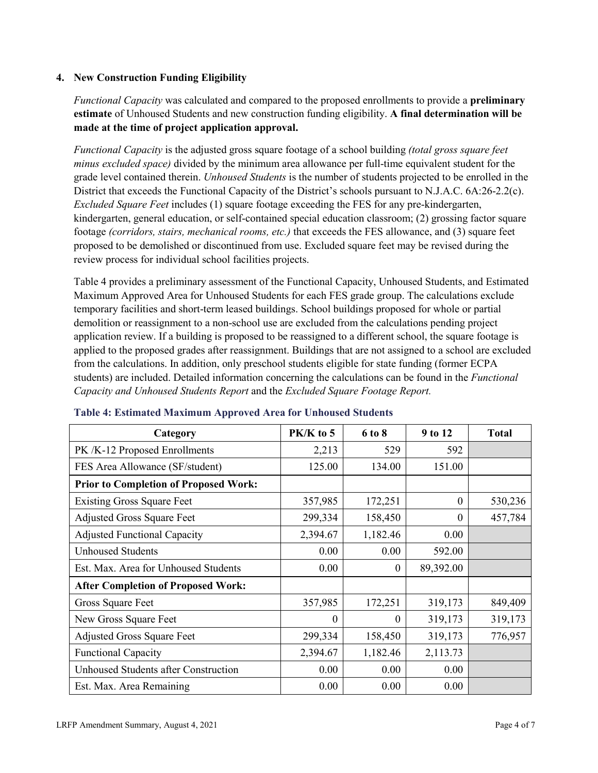### **4. New Construction Funding Eligibility**

*Functional Capacity* was calculated and compared to the proposed enrollments to provide a **preliminary estimate** of Unhoused Students and new construction funding eligibility. **A final determination will be made at the time of project application approval.**

*Functional Capacity* is the adjusted gross square footage of a school building *(total gross square feet minus excluded space)* divided by the minimum area allowance per full-time equivalent student for the grade level contained therein. *Unhoused Students* is the number of students projected to be enrolled in the District that exceeds the Functional Capacity of the District's schools pursuant to N.J.A.C. 6A:26-2.2(c). *Excluded Square Feet* includes (1) square footage exceeding the FES for any pre-kindergarten, kindergarten, general education, or self-contained special education classroom; (2) grossing factor square footage *(corridors, stairs, mechanical rooms, etc.)* that exceeds the FES allowance, and (3) square feet proposed to be demolished or discontinued from use. Excluded square feet may be revised during the review process for individual school facilities projects.

Table 4 provides a preliminary assessment of the Functional Capacity, Unhoused Students, and Estimated Maximum Approved Area for Unhoused Students for each FES grade group. The calculations exclude temporary facilities and short-term leased buildings. School buildings proposed for whole or partial demolition or reassignment to a non-school use are excluded from the calculations pending project application review. If a building is proposed to be reassigned to a different school, the square footage is applied to the proposed grades after reassignment. Buildings that are not assigned to a school are excluded from the calculations. In addition, only preschool students eligible for state funding (former ECPA students) are included. Detailed information concerning the calculations can be found in the *Functional Capacity and Unhoused Students Report* and the *Excluded Square Footage Report.*

| Category                                     | $PK/K$ to 5 | 6 to 8   | 9 to 12   | <b>Total</b> |
|----------------------------------------------|-------------|----------|-----------|--------------|
| PK /K-12 Proposed Enrollments                | 2,213       | 529      | 592       |              |
| FES Area Allowance (SF/student)              | 125.00      | 134.00   | 151.00    |              |
| <b>Prior to Completion of Proposed Work:</b> |             |          |           |              |
| <b>Existing Gross Square Feet</b>            | 357,985     | 172,251  | $\theta$  | 530,236      |
| <b>Adjusted Gross Square Feet</b>            | 299,334     | 158,450  | $\theta$  | 457,784      |
| <b>Adjusted Functional Capacity</b>          | 2,394.67    | 1,182.46 | 0.00      |              |
| <b>Unhoused Students</b>                     | 0.00        | 0.00     | 592.00    |              |
| Est. Max. Area for Unhoused Students         | 0.00        | $\theta$ | 89,392.00 |              |
| <b>After Completion of Proposed Work:</b>    |             |          |           |              |
| Gross Square Feet                            | 357,985     | 172,251  | 319,173   | 849,409      |
| New Gross Square Feet                        | $\theta$    | 0        | 319,173   | 319,173      |
| <b>Adjusted Gross Square Feet</b>            | 299,334     | 158,450  | 319,173   | 776,957      |
| <b>Functional Capacity</b>                   | 2,394.67    | 1,182.46 | 2,113.73  |              |
| <b>Unhoused Students after Construction</b>  | 0.00        | 0.00     | 0.00      |              |
| Est. Max. Area Remaining                     | 0.00        | 0.00     | 0.00      |              |

#### **Table 4: Estimated Maximum Approved Area for Unhoused Students**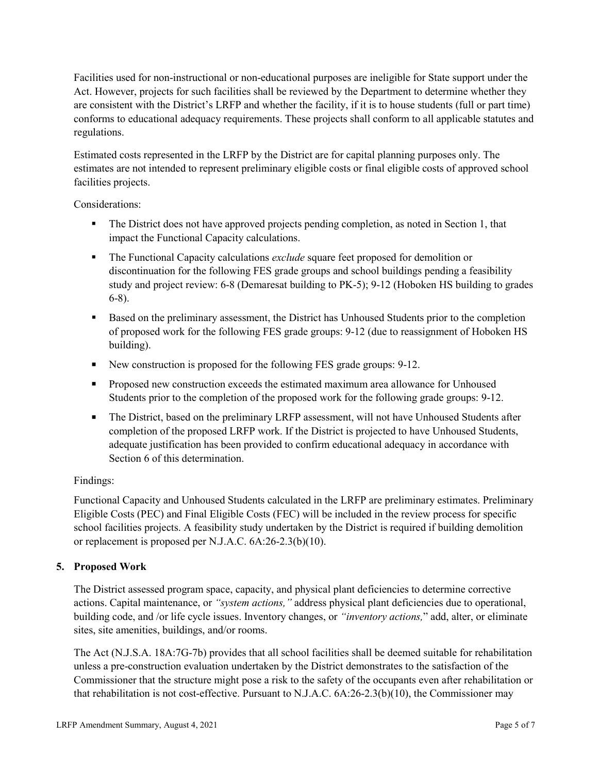Facilities used for non-instructional or non-educational purposes are ineligible for State support under the Act. However, projects for such facilities shall be reviewed by the Department to determine whether they are consistent with the District's LRFP and whether the facility, if it is to house students (full or part time) conforms to educational adequacy requirements. These projects shall conform to all applicable statutes and regulations.

Estimated costs represented in the LRFP by the District are for capital planning purposes only. The estimates are not intended to represent preliminary eligible costs or final eligible costs of approved school facilities projects.

Considerations:

- The District does not have approved projects pending completion, as noted in Section 1, that impact the Functional Capacity calculations.
- **The Functional Capacity calculations** *exclude* square feet proposed for demolition or discontinuation for the following FES grade groups and school buildings pending a feasibility study and project review: 6-8 (Demaresat building to PK-5); 9-12 (Hoboken HS building to grades 6-8).
- Based on the preliminary assessment, the District has Unhoused Students prior to the completion of proposed work for the following FES grade groups: 9-12 (due to reassignment of Hoboken HS building).
- New construction is proposed for the following FES grade groups: 9-12.
- **Proposed new construction exceeds the estimated maximum area allowance for Unhoused** Students prior to the completion of the proposed work for the following grade groups: 9-12.
- The District, based on the preliminary LRFP assessment, will not have Unhoused Students after completion of the proposed LRFP work. If the District is projected to have Unhoused Students, adequate justification has been provided to confirm educational adequacy in accordance with Section 6 of this determination.

# Findings:

Functional Capacity and Unhoused Students calculated in the LRFP are preliminary estimates. Preliminary Eligible Costs (PEC) and Final Eligible Costs (FEC) will be included in the review process for specific school facilities projects. A feasibility study undertaken by the District is required if building demolition or replacement is proposed per N.J.A.C. 6A:26-2.3(b)(10).

# **5. Proposed Work**

The District assessed program space, capacity, and physical plant deficiencies to determine corrective actions. Capital maintenance, or *"system actions,"* address physical plant deficiencies due to operational, building code, and /or life cycle issues. Inventory changes, or *"inventory actions,*" add, alter, or eliminate sites, site amenities, buildings, and/or rooms.

The Act (N.J.S.A. 18A:7G-7b) provides that all school facilities shall be deemed suitable for rehabilitation unless a pre-construction evaluation undertaken by the District demonstrates to the satisfaction of the Commissioner that the structure might pose a risk to the safety of the occupants even after rehabilitation or that rehabilitation is not cost-effective. Pursuant to N.J.A.C. 6A:26-2.3(b)(10), the Commissioner may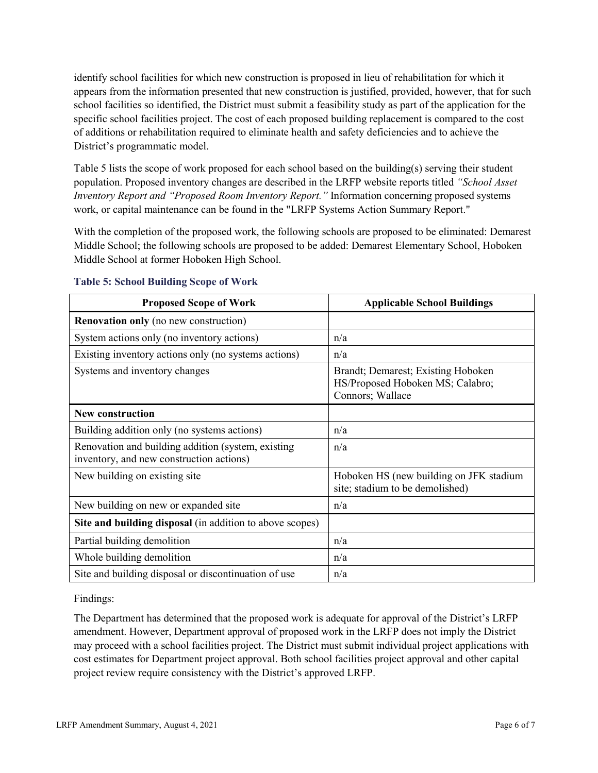identify school facilities for which new construction is proposed in lieu of rehabilitation for which it appears from the information presented that new construction is justified, provided, however, that for such school facilities so identified, the District must submit a feasibility study as part of the application for the specific school facilities project. The cost of each proposed building replacement is compared to the cost of additions or rehabilitation required to eliminate health and safety deficiencies and to achieve the District's programmatic model.

Table 5 lists the scope of work proposed for each school based on the building(s) serving their student population. Proposed inventory changes are described in the LRFP website reports titled *"School Asset Inventory Report and "Proposed Room Inventory Report."* Information concerning proposed systems work, or capital maintenance can be found in the "LRFP Systems Action Summary Report."

With the completion of the proposed work, the following schools are proposed to be eliminated: Demarest Middle School; the following schools are proposed to be added: Demarest Elementary School, Hoboken Middle School at former Hoboken High School.

| <b>Proposed Scope of Work</b>                                                                  | <b>Applicable School Buildings</b>                                                         |
|------------------------------------------------------------------------------------------------|--------------------------------------------------------------------------------------------|
| <b>Renovation only</b> (no new construction)                                                   |                                                                                            |
| System actions only (no inventory actions)                                                     | n/a                                                                                        |
| Existing inventory actions only (no systems actions)                                           | n/a                                                                                        |
| Systems and inventory changes                                                                  | Brandt; Demarest; Existing Hoboken<br>HS/Proposed Hoboken MS; Calabro;<br>Connors; Wallace |
| <b>New construction</b>                                                                        |                                                                                            |
| Building addition only (no systems actions)                                                    | n/a                                                                                        |
| Renovation and building addition (system, existing<br>inventory, and new construction actions) | n/a                                                                                        |
| New building on existing site                                                                  | Hoboken HS (new building on JFK stadium<br>site; stadium to be demolished)                 |
| New building on new or expanded site                                                           | n/a                                                                                        |
| Site and building disposal (in addition to above scopes)                                       |                                                                                            |
| Partial building demolition                                                                    | n/a                                                                                        |
| Whole building demolition                                                                      | n/a                                                                                        |
| Site and building disposal or discontinuation of use                                           | n/a                                                                                        |

# **Table 5: School Building Scope of Work**

Findings:

The Department has determined that the proposed work is adequate for approval of the District's LRFP amendment. However, Department approval of proposed work in the LRFP does not imply the District may proceed with a school facilities project. The District must submit individual project applications with cost estimates for Department project approval. Both school facilities project approval and other capital project review require consistency with the District's approved LRFP.